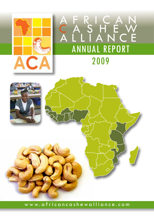





www.africancashewalliance.com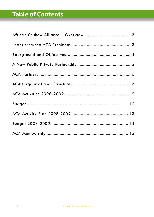# **Table of Contents**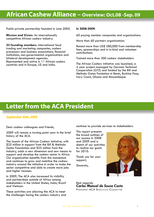### **African Cashew Alliance – Overview: Oct.08 -Sep. 09**

Public-private partnership founded in June 2005.

**Mission and Vision**: An internationally competitive African cashew industry.

**23 founding members**: International food trading and marketing companies, cashew processors and business associations, financial institutions, non-governmental organizations and bilateral development agencies. Represented and active in 11 African cashew countries and in Europe, US and India.

#### **In 2008-2009**:

60 paying member companies and organizations.

More than 60 partners organizations

Raised more than US\$ 280,000 from membership fees, sponsorships and in in-kind and volunteer contributions.

Trained more than 300 cashew stakeholders

The African Cashew initiative was launched, a 4 year project managed by German Technical Cooperation (GTZ) and funded by the Bill and Melinda Gates Fundation in Benin, Burkina Faso, Ivory Coast, Ghana and Mozambique.

### **Letter from the ACA President**

#### *September 30th, 2009*

Dear cashew colleagues and friends,

2009 will remain a turning-point year in the brief history of the ACA.

The launch of the African Cashew Initiative, with \$25 million in support from the Bill & Melinda Gates Foundation and \$25 million from the industry, adds a new dimension and new means to support and develop the cashew sector in Africa. Our organization benefits from this momentum and continues to grow and mobilize the cashew industry around the initiative in order to make the sector competitive and able to create more jobs and higher incomes.

In 2009, The ACA also increased its visibility and partnerships outside of Africa among stakeholders in the United States, India, Brazil and Vietnam.

These activities are allowing the ACA to meet the challenges facing the cashew industry and continue to provide services to stakeholders.

This report presents the broad outlines of our success in 2008 and 2009 and a sketch of our activities to realize our goals for 2010.

Thank you for your support,

Sincerely,



Best regards, *Carlos Manuel de Sousa Costa* PRESIDENT ACA EXECUTIVE COMMITTEE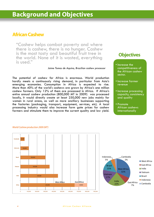### **African Cashew**

"Cashew helps combat poverty and where there is cashew, there is no hunger. Cashew is the most tasty and beautiful fruit tree in the world. None of it is wasted, everything is used."

*Jaime Tomas de Aquino, Brazilian cashew processor*

The potential of cashew for Africa is enormous. World production hardly meets a continuously rising demand, in particular from Asia's emerging economies. Consumption in Africa is expected to rise. More than 40% of the world's cashews are grown by Africa's one million cashew farmers. Only 12% of them are processed in Africa. If Africa's entire annual cashew production (800,000 MT in 2009) was processed locally, it would directly create at least 250,000 new jobs mainly for women in rural areas, as well as more ancillary businesses supporting the factories (packaging, transport, equipment, services, etc). A local processing industry would also increase farm gate prices for cashew farmers and stimulate them to improve the current quality and low yield.

### **Objectives**

- Increase the competitiveness of the African cashew sector.
- Increase farmer revenue
- Increase processing capacity, consistency and quality
- Promote African cashews internationally





#### *World Cashew production 2009 (MT)*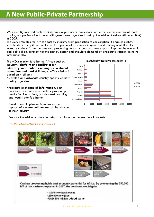## **A New Public-Private Partnership**

With such figures and facts in mind, cashew producers, processors, marketers and international food trading companies joined forces with government agencies to set up the African Cashew Alliance (ACA) in 2005.

The ACA promotes the African cashew industry from production to consumption. It enables cashew stakeholders to capitalize on the sector's potential for economic growth and employment. It seeks to increase cashew farmer income and processing capacity, boost cashew exports, improve the economic and political environment for the cashew sector and stimulate demand by promoting African cashews internationally.

The ACA's mission is to be the African cashew industry's **platform and facilitator** for **advocacy, information exchange, investment promotion and market linkage.** ACA's mission is based on 4 pillars :

- Develop and advocate country-specific cashew **policy** agendas.
- Facilitate **exchange of information**, best practices, benchmarks on cashew processing, production innovations, post-harvest handling and local trade facilitation
- Develop and implement interventions in support of the **competitiveness** of the African cashew industry



• Promote the African cashew industry to national and international markets

#### *The African Cashew Value Chain and Potential*

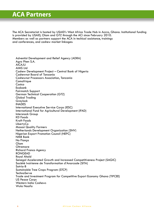## **ACA Partners**

The ACA Secretariat is hosted by USAID's West Africa Trade Hub in Accra, Ghana. Institutional funding is provided by USAID, Olam and GTZ through the ACi since February 2010. Members as well as partners support the ACA in techical assistance, trainings and conferences, and cashew market linkages:

Adventist Development and Relief Agency (ADRA) Agro Phen S.A. AICAJU AIMS Ltd Cashew Development Project – Central Bank of Nigeria Cashewnut Board of Tanzania Cashewnut Processors Association, Tanzania Comafrique **Costco** Ecobank Fairmatch Support German Technical Cooperation (GTZ) Global Trading Greylock INADES International Executive Service Corps (IESC) International Fund for Agricultural Development (IFAD) Intersnack Group KD Foods Kraft Foods LibertyCo Masasi Quality Farmers Netherlands Development Organization (SNV) Nigerian Export Promotion Council (NEPC) NMB Bank No Fiança Olam **Oltremare** Richard Franco Agency RONGEAD Royal Ahold Senegal Accelerated Growth and Increased Competitiveness Project (SAGIC) Société Ivoirienne de Transformation d'Anarcade (SITA) Sotria-B Sustainable Tree Crops Program (STCP) **TechnoServe** Trade and Investment Program for Competitive Export Economy Ghana (TIPCEE) US Peace Corps Western India Cashews Wula Naafa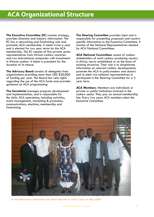**The Executive Committee** (**EC**) creates strategy, provides direction and industry information. The EC has a networking and fundraising role and promotes ACA membership. It meets twice a year and is elected for two year terms by the ACA membership. The EC consists of five private sector representatives from African cashew countries and two international companies with investments in African cashew. It elects a president for the duration of its tenure.

**The Advisory Board** consists of delegates from organizations providing more than USD \$50,000 of funding per year. The Board has veto rights regarding the use of the ACA funds and provides guidance on ACA programming.

**The Secretariat** manages program development and implementation, and is responsible for the daily ACA operations, including activities, event management, marketing & promotion, communications, elections, membership and fundraising.

**The Steering Committee** provides input and is responsible for presenting proposals and countryspecific information to the Executive Committee. It consists of the National Representatives elected by ACA National Committees.

**ACA National Committees** consist of cashew stakeholders of each cashew producing country in Africa, newly established or on the basis of existing structures. Their role is to disseminate information on relevant cashew developments, promote the ACA to policymakers and donors and to elect two national representatives to participate in the Steering Committee for a 3 year term.

**ACA Members**: Members are individuals or private or public institutions involved in the cashew sector. They pay an annual membership fee. Every two years ACA members elect the Executive Committee.



*A n e w N a t i o n a l C o m m i t t e e h a s b e e n e l e c t e d i n I v o r y C o a s t i n M a y 2 0 0 9*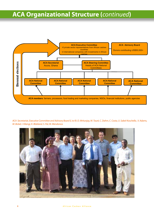## **ACA Organizational Structure (***continued***)**



*ACA Secretariat, Executive Committee and Advisory Board (L to R): D. Mritunjay, M. Touré, C. Dahm, C. Costa, U. Sabel-Koschella , V. Adams, M. Bickel, I. Kilangi, K. Blokland, S. Pal, M. Mendonca.*



#### 8 A frican Cashew Alliance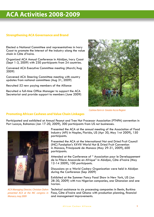## **ACA Activities 2008-2009**

#### **Strengthening ACA Governance and Brand**

Elected a National Committee and representatives in Ivory Coast to promote the interest of the industry along the value chain in Côte d'Ivoire.

Organized ACA Annual Conference in Abidjan, Ivory Coast (Sept 1-3, 2009) with 230 participants from 24 countries.

Convened ACA Executive Committee meeting (March/Aug 2009)

Convened ACA Steering Committee meeting with country updates from national committees (Aug 31, 2009)

Recruited 52 new paying members of the Alliance

Recruited a full-time Office Manager to support the ACA Secretariat and provide support to members (June 2009)



*Cashew farm in Greater Accra Region*

#### **Promoting African Cashews and Value Chain Linkages**

Participated and exhibited at Annual Peanut and Tree Nut Processor Association (PTNPA) convention in Port Lucaya, Bahamas (Jan 17-20, 2009), 300 participants from US nut businesses.



*ACA Managing Director, Christian Dahm presented ACA at the INC congress in Monaco, may 2009*

Presented the ACA at the annual meeting of the Association of Food Industry (AFI) in Naples, Florida, US (Apr 30, May 1rst 2009), 150 participants.

Presented the ACA at the International Nut and Dried Fruit Council (INC) Fundqtion's XXVIII World Nut & Dried Fruit Convention in Monaco, Principauté de Monaco (May 29-31, 2009), 600 participants.

Attended at the Conference of " Association pour le Developpement de la Filiere Anacarde en Afrique" in Abidjan, Côte d'Ivoire (May 12-14 2009), 100 participants.

Discussions on a World Cashew Organization were held in Abidjan during the Conference (Sep 2009)

Exhibited at the Summer Fancy Food Show in New York, US (Jun 28-30, 2009) with two Nigerian companies, one Ghanaian and one Ivorian.

Technical assistance to six processing companies in Benin, Burkina Faso, Côte d'Ivoire and Ghana with production planning, financial and management improvements.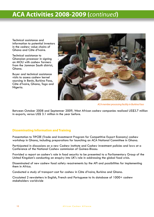## **ACA Activities 2008-2009 (***continued***)**

Technical assistance and information to potential investors in the cashew value chains of Ghana and Côte d'Ivoire.

Technical assistance to Ghanaian processor in signing an MOU with cashew farmers from the Jamman South district Ghana.

Buyer and technical assistance visits to assess cashew kernel sourcing in Benin, Burkina Faso, Côte d'Ivoire, Ghana, Togo and Nigeria.



*ACA member processing facility in Burkina Faso*

Between October 2008 and Septemner 2009, West African cashew companies realized US\$3.7 million in exports, versus US\$ 3.1 million in the year before.

#### **Disseminating Information and Training**

Presentation to TIPCEE (Trade and Investmernt Program for Competitive Export Economy) cashew workshop in Ghana, including preparations for launching an ACA National Committee in Ghana.

Participated in discussions on a new Cashew institute and Cashew investment policies and laws at a Conference of the National Cashew commission of Guinea-Bissau.

Provided a report on cashew's role in food security to be presented to a Parliamentary Group of the United Kingdom's conducting an enquiry into UK's role in addressing the global food crisis.

Disseminated of new cashew food safety reauirements by the AFI and possibilities for implementing them in Africa.

Conducted a study of transport cost for cashew in Côte d'Ivoire, Burkina and Ghana.

Circulated 2 newsletters in English, French and Portuguese to its database of 1000+ cashew stakeholders worldwide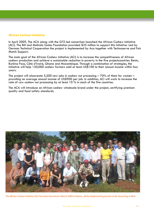#### **African Cashew initiative**

In April 2009, The ACA along with the GTZ-led consortium launched the African Cashew Initiative (ACi). The Bill and Melinda Gates Foundation provided \$25 million to support this initiative. Led by German Technical Cooperation the project is implemented by Aca together with Technoserve and Fair Match Support.

The main goal of the African Cashew initiative (ACi) is to increase the competitiveness of African cashew production and achieve a sustainable reduction in poverty in the five projectcountries: Benin, Burkina Faso, Côte d'Ivoire, Ghana and Mozambique. Through a combination of strategies, the initiative will help 150,000 cashew farmers add at least US\$100 to their annual income within four years.

The project will alsocreate 5,500 new jobs in cashew nut processing  $-70\%$  of them for women – providing an average annual income of US\$900 per job. In addition, ACi will work to increase the rate of raw cashew nut processing by at least 10 % in each of the five countries.

The ACA will introduce an African cashew wholesale brand under the project, certifying premium quality and food safety standards.



*The African Cashew Initiative (ACi) has been launched in March 2009 in Ghana., all the implementing partner at the launching in Mim*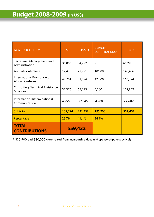| <b>ACA BUDGET ITEM</b>                               | <b>ACI</b> | <b>USAID</b> | <b>PRIVATE</b><br><b>CONTRIBUTIONS*</b> | <b>TOTAL</b> |
|------------------------------------------------------|------------|--------------|-----------------------------------------|--------------|
| Secretariat Management and<br>Administration         | 31,006     | 34,292       |                                         | 65,298       |
| <b>Annual Conference</b>                             | 17,435     | 22,971       | 105,000                                 | 145,406      |
| International Promotion of<br><b>African Cashews</b> | 42,701     | 81,574       | 42,000                                  | 166,274      |
| Consulting, Technical Assistance<br>& Training       | 37,376     | 65,275       | 5,200                                   | 107,852      |
| Information Dissemination &<br>Communication         | 4,256      | 27,346       | 43,000                                  | 74,602       |
| Subtotal                                             | 132,774    | 231,458      | 195,200                                 | 559,432      |
| Percentage                                           | 23,7%      | 41,4%        | 34,9%                                   |              |
| <b>TOTAL</b><br><b>CONTRIBUTIONS</b>                 |            | 559,432      |                                         |              |

\* \$35,900 and \$80,000 were raised from membership dues and sponsorships respectively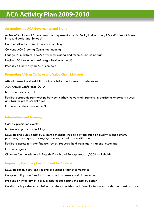## **ACA Activity Plan 2009-2010**

#### **Strengthening ACA Governance and Brand**

Active ACA National Committees and representatives in Benin, Burkina Faso, Côte d'Ivoire, Guinea-Bissau, Nigeria and Senegal

Convene ACA Executive Committee meetings

Convene ACA Steering Committee meeting

Engage EC members in ACA awareness raising and membership campaign

Register ACA as a non-profit organization in the US

Recruit 25+ new paying ACA members

#### **Promoting African Cashews and Value Chain Linkages**

Attend, present and exhibit at 5 trade fairs, food shows or conferences

ACA Annual Conference 2010

Buyer and investor visits

Facilitate strategic partnerships between cashew value chain patners, in particular exporters-buyers and farmer processor linkages

Produce a cashew promotion film

#### **Information and Training**

Cashew promotion events

Banker and processor trainings

Develop and publish cashew expert database, including information on quality, management, processing techniques, packaging, sanitary standards, certification

Facilitate access to trade finance: review requests, hold trainings in National Meetings

Investment guide

Circulate four newsletters in English, French and Portuguese to 1,000+ stakeholders

#### **Improving the Policy Environment for Cashew**

Develop action plans and recommendations at national meetings

Compile policy priorities for farmers and processors and disseminate

Prepare an inventory of policy measures supporting the cashew sector

Conduct policy advocacy mission to cashew countries and disseminate success stories and best practices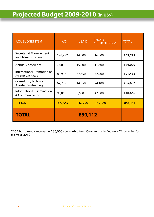# **Projected Budget 2009-2010 (in US\$)**

| <b>ACA BUDGET ITEM</b>                               | <b>ACI</b> | <b>USAID</b> | <b>PRIVATE</b><br><b>CONTRIBUTIONS*</b> | <b>TOTAL</b> |
|------------------------------------------------------|------------|--------------|-----------------------------------------|--------------|
| Secretariat Management<br>and Administration         | 128,772    | 14,500       | 16,000                                  | 159,272      |
| <b>Annual Conference</b>                             | 7,000      | 15,000       | 110,000                                 | 132,000      |
| International Promotion of<br><b>African Cashews</b> | 80,936     | 37,650       | 72,900                                  | 191,486      |
| Consulting, Technical<br>Assistance&Training         | 67,787     | 143,500      | 24,400                                  | 235,687      |
| <b>Information Dissemination</b><br>& Communication  | 93,066     | 5,600        | 42,000                                  | 140,666      |
| Subtotal                                             | 377,562    | 216,250      | 265,300                                 | 859,112      |
| <b>TOTAL</b>                                         | 859,112    |              |                                         |              |

\*ACA has already received a \$30,000 sponsorship from Olam to partly finance ACA activities for the year 2010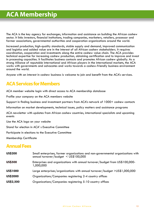The ACA is the key agency for exchanges, information and assistance on building the African cashew sector. It links investors, financial institutions, trading companies, marketers, retailers, processor and farmer associations, governmental authorities and cooperation organizations around the world.

Increased production, high-quality standards, stable supply and demand, improved communication and logistics and added value are in the interest of all African cashew stakeholders. It requires coordination, cooperation and investments along the entire cashew value chain. The ACA provides technical expertise for increasing cashew production, obtaining certification and to improve and invest in processing capacities. It facilitates business contacts and promotes African cashew globally. As a strong Alliance of reputable international and African players in the international markets, the ACA works with governments and advocates and works towards a cashew-friendly business environment around the world.

Anyone with an interest in cashew business is welcome to join and benefit from the ACA's services.

### **ACA Services for Members**

ACA member website login with direct access to ACA membership database

Profile your company on the ACA members website

Support in finding business and investment partners from ACA's network of 1000+ cashew contacts

Information on market developments, technical issues, policy matters and assistance programs

ACA newsletter with updates from African cashew countries, international specialists and upcoming events

Use the ACA logo on your website

Stand for election in ACA' s Executive Committee

Participate in elections to the Executive Committee

Membership Certificate

### **Annual Fees**

| <b>US\$200</b> | Small enterprises, farmer organizations and non-governmental organizations with<br>annual turnover/budget < US\$100,000 |
|----------------|-------------------------------------------------------------------------------------------------------------------------|
| <b>US\$500</b> | Enterprises and organizations with annual turnover/budget from US\$100,000-<br>1,000,000                                |
| US\$1000       | Large enterprises/organizations with annual turnover/budget >US\$1,000,000                                              |
| US\$2000       | Organizations/Companies registering 2-4 country offices                                                                 |
| US\$2,500      | Organizations/Companies registering 5-10 country offices                                                                |